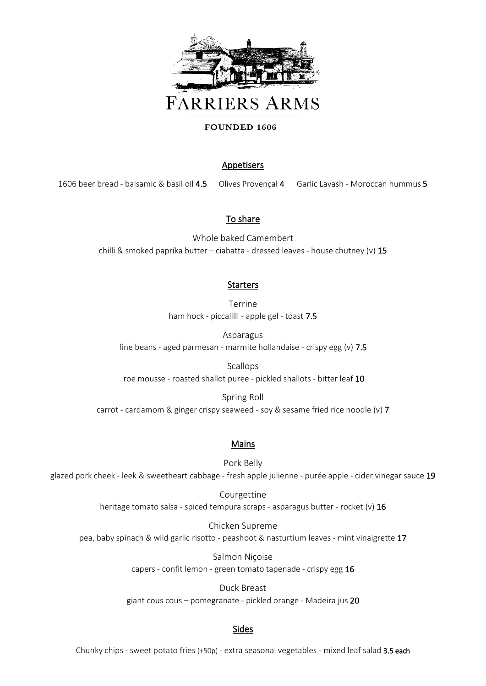

#### FOUNDED 1606

## Appetisers

1606 beer bread - balsamic & basil oil 4.5 Olives Provençal 4 Garlic Lavash - Moroccan hummus 5

# To share

Whole baked Camembert chilli & smoked paprika butter - ciabatta - dressed leaves - house chutney (v) 15

## **Starters**

Terrine ham hock - piccalilli - apple gel - toast 7.5

Asparagus fine beans - aged parmesan - marmite hollandaise - crispy egg  $(v)$  7.5

Scallops roe mousse - roasted shallot puree - pickled shallots - bitter leaf 10

Spring Roll carrot - cardamom & ginger crispy seaweed - soy & sesame fried rice noodle (v) 7

#### Mains

Pork Belly glazed pork cheek - leek & sweetheart cabbage - fresh apple julienne - purée apple - cider vinegar sauce 19

> Courgettine heritage tomato salsa - spiced tempura scraps - asparagus butter - rocket (v) 16

Chicken Supreme pea, baby spinach & wild garlic risotto - peashoot & nasturtium leaves - mint vinaigrette 17

> Salmon Niçoise capers - confit lemon - green tomato tapenade - crispy egg 16

Duck Breast giant cous cous – pomegranate - pickled orange - Madeira jus 20

## Sides

Chunky chips - sweet potato fries (+50p) - extra seasonal vegetables - mixed leaf salad 3.5 each